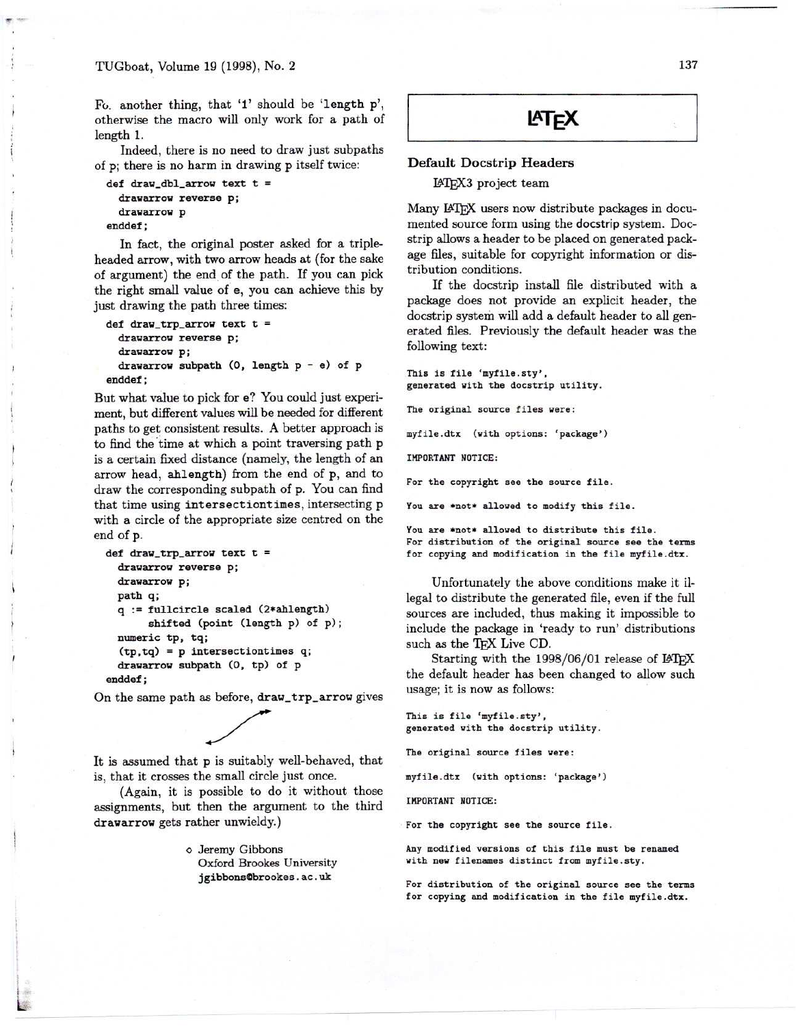$\frac{1}{2}$  .

\ , I I

Fo, another thing, that '1' should be 'length p', otherwise the macro will only work for a path of length\_I.

Indeed, there is no need to draw just subpaths of p; there is no harm in drawing p itself twice:

```
def draw_dbl_arrow text t =
  drawarrow reverse p;
  drawarrow p
enddef;
```
In fact, the original poster asked for a tripleheaded arrow, with two arrow heads at (for the sake of argument) the end of the path. If you can pick the right small value of e, you can achieve this by just drawing the path three times:

```
def draw_trp_arrow text t =
 drawarrow reverse p;
 drawarrow p;
 drawarrow subpath (0, length p - e) of p
enddef;
```
But what value to pick for e? You could just experiment, but different values will be needed for different paths to get consistent results. A better approach is to find the time at which a point traversing path p is a certain fixed distance (namely, the length of an arrow head, ahlength) from the end of p, and to draw the corresponding subpath of p. You can find that time using intersectiontimes, intersecting p with a circle of the appropriate size centred on the end of p.

```
def draw_trp_arrow text t =
 drawarrow reverse p;
 drawarrow p;
 path q;
 q := fullcircle scaled (2*ahlength)
       shifted (point (length p) of p);
 numeric tp, tq;
  (tp,tq) = p intersectiontimes q;
 drawarrow subpath (0, tp) of p
enddef;
```
On the same path as before, draw\_trp\_arrow gives

 $\ddot{\phantom{0}}$ It is assumed that p is suitably well-behaved, that is, that it crosses the small circle just once.

(Again, it is possible to do it without those assignments, but then the argument to the third drawarrow gets rather unwieldy.)

> 0 Jeremy Gibbons Oxford Brookes University jgibbonsObrookes.ac.uk



## Default Docstrip Headers

~'lEX3 project team

Many IATFX users now distribute packages in documented source form using the docstrip system. Docstrip allows a header to be placed on generated package files, suitable for copyright information or distribution conditions.

If the docstrip install file distributed with a package does not provide an explicit header, the docstrip system will add a default header to all generated files. Previously the default header was the following text:

This is file 'myfile.sty', generated with the docstrip utility. The original source files were: myfile.dtx (with options: 'package')

IMPORTANT NOTICE:

For the copyright see the source file.

You are \*not\* allowed to modify this file.

You are \*not\* allowed to distribute this file. For distribution of the original source see the terms for copying and modification in the file myfile.dtx.

Unfortunately the above conditions make it illegal to distribute the generated file, even if the full sources are included, thus making it impossible to include the package in 'ready to run' distributions such as the TFX Live CD.

Starting with the  $1998/06/01$  release of  $I\llap{/}T\llap{/}F\llap{/}X$ the default header has been changed to allow such usage; it is now as follows:

This is file 'myfile.sty', generated with the docstrip utility.

The original source files were:

myfile.dtx (with options: 'package')

IMPORTANT NOTICE:

For the copyright see the source file.

Any modified versions of this file must be renamed with new filenames distinct from myfile.sty.

For distribution of the original source see the terms for copying and modification in the file myfile.dtx.